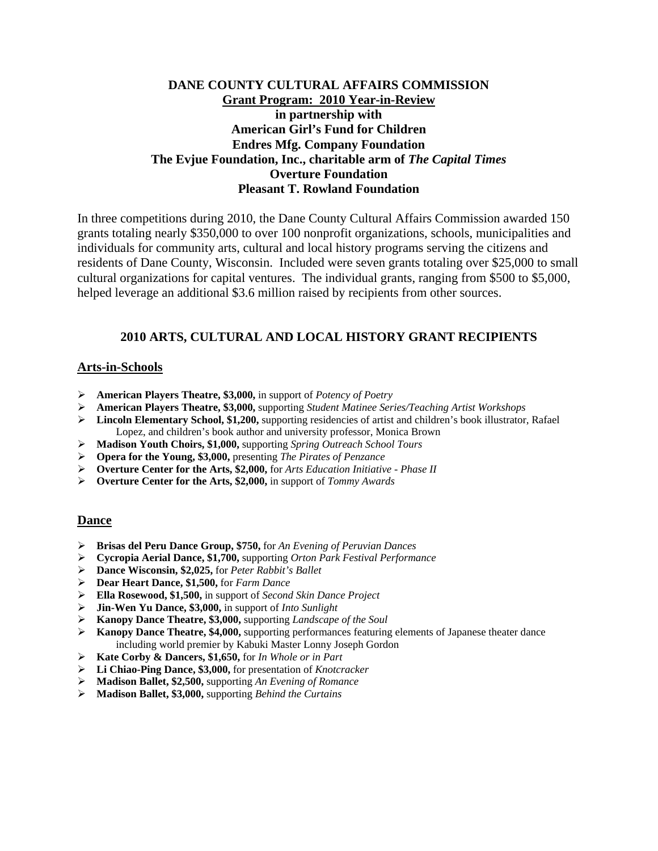# **DANE COUNTY CULTURAL AFFAIRS COMMISSION Grant Program: 2010 Year-in-Review in partnership with American Girl's Fund for Children Endres Mfg. Company Foundation The Evjue Foundation, Inc., charitable arm of** *The Capital Times* **Overture Foundation Pleasant T. Rowland Foundation**

In three competitions during 2010, the Dane County Cultural Affairs Commission awarded 150 grants totaling nearly \$350,000 to over 100 nonprofit organizations, schools, municipalities and individuals for community arts, cultural and local history programs serving the citizens and residents of Dane County, Wisconsin. Included were seven grants totaling over \$25,000 to small cultural organizations for capital ventures. The individual grants, ranging from \$500 to \$5,000, helped leverage an additional \$3.6 million raised by recipients from other sources.

## **2010 ARTS, CULTURAL AND LOCAL HISTORY GRANT RECIPIENTS**

### **Arts-in-Schools**

- ¾ **American Players Theatre, \$3,000,** in support of *Potency of Poetry*
- ¾ **American Players Theatre, \$3,000,** supporting *Student Matinee Series/Teaching Artist Workshops*
- ¾ **Lincoln Elementary School, \$1,200,** supporting residencies of artist and children's book illustrator, Rafael Lopez, and children's book author and university professor, Monica Brown
- ¾ **Madison Youth Choirs, \$1,000,** supporting *Spring Outreach School Tours*
- ¾ **Opera for the Young, \$3,000,** presenting *The Pirates of Penzance*
- ¾ **Overture Center for the Arts, \$2,000,** for *Arts Education Initiative Phase II*
- ¾ **Overture Center for the Arts, \$2,000,** in support of *Tommy Awards*

## **Dance**

- ¾ **Brisas del Peru Dance Group, \$750,** for *An Evening of Peruvian Dances*
- ¾ **Cycropia Aerial Dance, \$1,700,** supporting *Orton Park Festival Performance*
- ¾ **Dance Wisconsin, \$2,025,** for *Peter Rabbit's Ballet*
- ¾ **Dear Heart Dance, \$1,500,** for *Farm Dance*
- ¾ **Ella Rosewood, \$1,500,** in support of *Second Skin Dance Project*
- ¾ **Jin-Wen Yu Dance, \$3,000,** in support of *Into Sunlight*
- ¾ **Kanopy Dance Theatre, \$3,000,** supporting *Landscape of the Soul*
- ¾ **Kanopy Dance Theatre, \$4,000,** supporting performances featuring elements of Japanese theater dance including world premier by Kabuki Master Lonny Joseph Gordon
- ¾ **Kate Corby & Dancers, \$1,650,** for *In Whole or in Part*
- ¾ **Li Chiao-Ping Dance, \$3,000,** for presentation of *Knotcracker*
- ¾ **Madison Ballet, \$2,500,** supporting *An Evening of Romance*
- ¾ **Madison Ballet, \$3,000,** supporting *Behind the Curtains*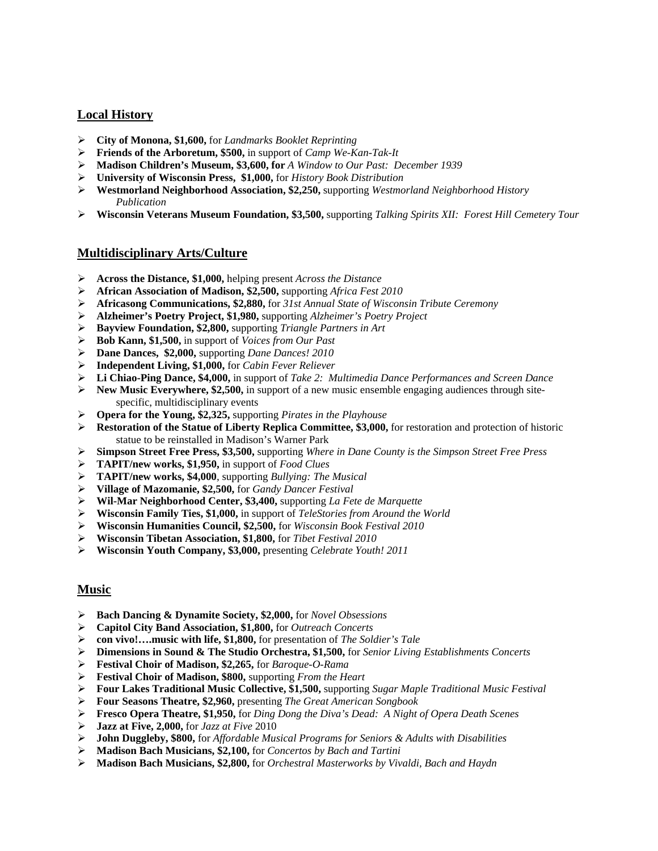## **Local History**

- **City of Monona, \$1,600,** for *Landmarks Booklet Reprinting*
- **Friends of the Arboretum, \$500,** in support of *Camp We-Kan-Tak-It*
- **Madison Children's Museum, \$3,600, for** *A Window to Our Past: December 1939*
- **University of Wisconsin Press, \$1,000,** for *History Book Distribution*
- **Westmorland Neighborhood Association, \$2,250,** supporting *Westmorland Neighborhood History Publication*
- **Wisconsin Veterans Museum Foundation, \$3,500,** supporting *Talking Spirits XII: Forest Hill Cemetery Tour*

### **Multidisciplinary Arts/Culture**

- **Across the Distance, \$1,000,** helping present *Across the Distance*
- **African Association of Madison, \$2,500,** supporting *Africa Fest 2010*
- **Africasong Communications, \$2,880,** for *31st Annual State of Wisconsin Tribute Ceremony*
- **Alzheimer's Poetry Project, \$1,980,** supporting *Alzheimer's Poetry Project*
- **Bayview Foundation, \$2,800,** supporting *Triangle Partners in Art*
- **Bob Kann, \$1,500,** in support of *Voices from Our Past*
- **Dane Dances, \$2,000,** supporting *Dane Dances! 2010*
- **Independent Living, \$1,000,** for *Cabin Fever Reliever*
- **Li Chiao-Ping Dance, \$4,000,** in support of *Take 2: Multimedia Dance Performances and Screen Dance*
- **New Music Everywhere, \$2,500,** in support of a new music ensemble engaging audiences through sitespecific, multidisciplinary events
- **Opera for the Young, \$2,325,** supporting *Pirates in the Playhouse*
- **Restoration of the Statue of Liberty Replica Committee, \$3,000,** for restoration and protection of historic statue to be reinstalled in Madison's Warner Park
- **Simpson Street Free Press, \$3,500,** supporting *Where in Dane County is the Simpson Street Free Press*
- **TAPIT/new works, \$1,950,** in support of *Food Clues*
- **TAPIT/new works, \$4,000**, supporting *Bullying: The Musical*
- **Village of Mazomanie, \$2,500,** for *Gandy Dancer Festival*
- **Wil-Mar Neighborhood Center, \$3,400,** supporting *La Fete de Marquette*
- **Wisconsin Family Ties, \$1,000,** in support of *TeleStories from Around the World*
- **Wisconsin Humanities Council, \$2,500,** for *Wisconsin Book Festival 2010*
- **Wisconsin Tibetan Association, \$1,800,** for *Tibet Festival 2010*
- **Wisconsin Youth Company, \$3,000,** presenting *Celebrate Youth! 2011*

## **Music**

- **Bach Dancing & Dynamite Society, \$2,000,** for *Novel Obsessions*
- **Capitol City Band Association, \$1,800,** for *Outreach Concerts*
- **con vivo!….music with life, \$1,800,** for presentation of *The Soldier's Tale*
- **Dimensions in Sound & The Studio Orchestra, \$1,500,** for *Senior Living Establishments Concerts*
- **Festival Choir of Madison, \$2,265,** for *Baroque-O-Rama*
- **Festival Choir of Madison, \$800,** supporting *From the Heart*
- **Four Lakes Traditional Music Collective, \$1,500,** supporting *Sugar Maple Traditional Music Festival*
- **Four Seasons Theatre, \$2,960,** presenting *The Great American Songbook*
- **Fresco Opera Theatre, \$1,950,** for *Ding Dong the Diva's Dead: A Night of Opera Death Scenes*
- **Jazz at Five, 2,000,** for *Jazz at Five* 2010
- **John Duggleby, \$800,** for *Affordable Musical Programs for Seniors & Adults with Disabilities*
- **Madison Bach Musicians, \$2,100,** for *Concertos by Bach and Tartini*
- **Madison Bach Musicians, \$2,800,** for *Orchestral Masterworks by Vivaldi, Bach and Haydn*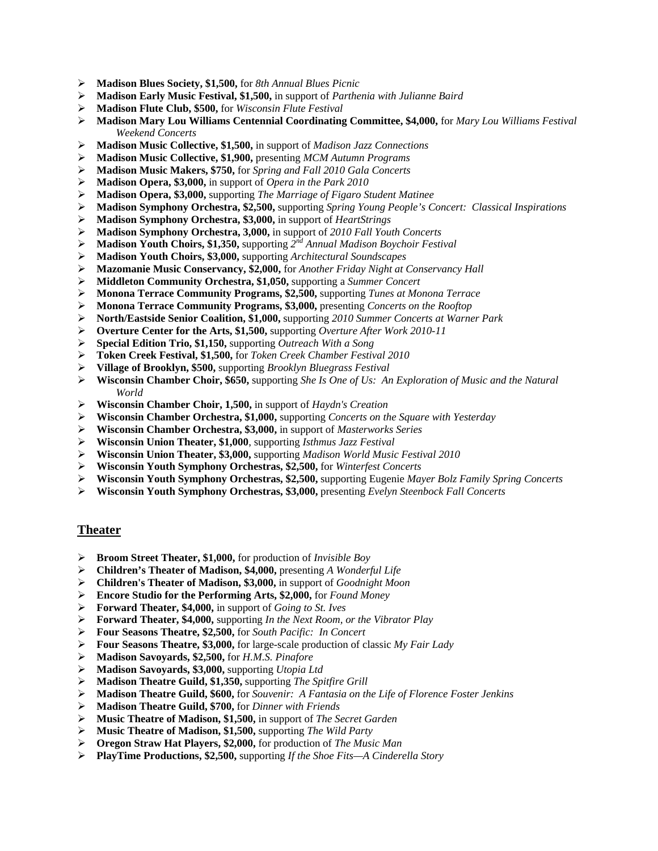- **Madison Blues Society, \$1,500,** for *8th Annual Blues Picnic*
- **Madison Early Music Festival, \$1,500,** in support of *Parthenia with Julianne Baird*
- **Madison Flute Club, \$500,** for *Wisconsin Flute Festival*
- **Madison Mary Lou Williams Centennial Coordinating Committee, \$4,000,** for *Mary Lou Williams Festival Weekend Concerts*
- **Madison Music Collective, \$1,500,** in support of *Madison Jazz Connections*
- **Madison Music Collective, \$1,900,** presenting *MCM Autumn Programs*
- **Madison Music Makers, \$750,** for *Spring and Fall 2010 Gala Concerts*
- **Madison Opera, \$3,000,** in support of *Opera in the Park 2010*
- **Madison Opera, \$3,000,** supporting *The Marriage of Figaro Student Matinee*
- **Madison Symphony Orchestra, \$2,500,** supporting *Spring Young People's Concert: Classical Inspirations*
- **Madison Symphony Orchestra, \$3,000,** in support of *HeartStrings*
- **Madison Symphony Orchestra, 3,000,** in support of *2010 Fall Youth Concerts*
- **Madison Youth Choirs, \$1,350,** supporting *2nd Annual Madison Boychoir Festival*
- **Madison Youth Choirs, \$3,000,** supporting *Architectural Soundscapes*
- **Mazomanie Music Conservancy, \$2,000,** for *Another Friday Night at Conservancy Hall*
- **Middleton Community Orchestra, \$1,050,** supporting a *Summer Concert*
- **Monona Terrace Community Programs, \$2,500,** supporting *Tunes at Monona Terrace*
- **Monona Terrace Community Programs, \$3,000,** presenting *Concerts on the Rooftop*
- **North/Eastside Senior Coalition, \$1,000,** supporting *2010 Summer Concerts at Warner Park*
- **Overture Center for the Arts, \$1,500,** supporting *Overture After Work 2010-11*
- **Special Edition Trio, \$1,150,** supporting *Outreach With a Song*
- **Token Creek Festival, \$1,500,** for *Token Creek Chamber Festival 2010*
- **Village of Brooklyn, \$500,** supporting *Brooklyn Bluegrass Festival*
- **Wisconsin Chamber Choir, \$650,** supporting *She Is One of Us: An Exploration of Music and the Natural World*
- **Wisconsin Chamber Choir, 1,500,** in support of *Haydn's Creation*
- **Wisconsin Chamber Orchestra, \$1,000,** supporting *Concerts on the Square with Yesterday*
- **Wisconsin Chamber Orchestra, \$3,000,** in support of *Masterworks Series*
- **Wisconsin Union Theater, \$1,000**, supporting *Isthmus Jazz Festival*
- **Wisconsin Union Theater, \$3,000,** supporting *Madison World Music Festival 2010*
- **Wisconsin Youth Symphony Orchestras, \$2,500,** for *Winterfest Concerts*
- **Wisconsin Youth Symphony Orchestras, \$2,500,** supporting Eugenie *Mayer Bolz Family Spring Concerts*
- **Wisconsin Youth Symphony Orchestras, \$3,000,** presenting *Evelyn Steenbock Fall Concerts*

#### **Theater**

- **Broom Street Theater, \$1,000,** for production of *Invisible Boy*
- **Children's Theater of Madison, \$4,000,** presenting *A Wonderful Life*
- **Children's Theater of Madison, \$3,000,** in support of *Goodnight Moon*
- **Encore Studio for the Performing Arts, \$2,000,** for *Found Money*
- **Forward Theater, \$4,000,** in support of *Going to St. Ives*
- **Forward Theater, \$4,000,** supporting *In the Next Room, or the Vibrator Play*
- **Four Seasons Theatre, \$2,500,** for *South Pacific: In Concert*
- **Four Seasons Theatre, \$3,000,** for large-scale production of classic *My Fair Lady*
- **Madison Savoyards, \$2,500,** for *H.M.S. Pinafore*
- **Madison Savoyards, \$3,000,** supporting *Utopia Ltd*
- **Madison Theatre Guild, \$1,350,** supporting *The Spitfire Grill*
- **Madison Theatre Guild, \$600,** for *Souvenir: A Fantasia on the Life of Florence Foster Jenkins*
- **Madison Theatre Guild, \$700,** for *Dinner with Friends*
- **Music Theatre of Madison, \$1,500,** in support of *The Secret Garden*
- **Music Theatre of Madison, \$1,500,** supporting *The Wild Party*
- **Oregon Straw Hat Players, \$2,000,** for production of *The Music Man*
- **PlayTime Productions, \$2,500,** supporting *If the Shoe Fits—A Cinderella Story*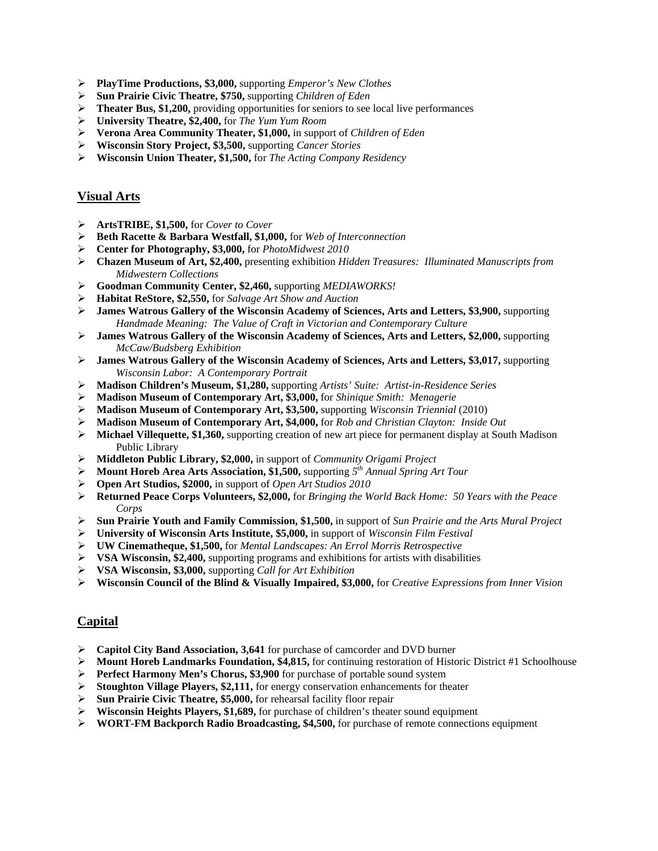- **PlayTime Productions, \$3,000,** supporting *Emperor's New Clothes*
- **Sun Prairie Civic Theatre, \$750,** supporting *Children of Eden*
- **Theater Bus, \$1,200,** providing opportunities for seniors to see local live performances
- **University Theatre, \$2,400,** for *The Yum Yum Room*
- **Verona Area Community Theater, \$1,000,** in support of *Children of Eden*
- **Wisconsin Story Project, \$3,500,** supporting *Cancer Stories*
- **Wisconsin Union Theater, \$1,500,** for *The Acting Company Residency*

## **Visual Arts**

- **ArtsTRIBE, \$1,500,** for *Cover to Cover*
- **Beth Racette & Barbara Westfall, \$1,000,** for *Web of Interconnection*
- **Center for Photography, \$3,000,** for *PhotoMidwest 2010*
- **Chazen Museum of Art, \$2,400,** presenting exhibition *Hidden Treasures: Illuminated Manuscripts from Midwestern Collections*
- **Goodman Community Center, \$2,460,** supporting *MEDIAWORKS!*
- **Habitat ReStore, \$2,550,** for *Salvage Art Show and Auction*
- **James Watrous Gallery of the Wisconsin Academy of Sciences, Arts and Letters, \$3,900,** supporting *Handmade Meaning: The Value of Craft in Victorian and Contemporary Culture*
- **James Watrous Gallery of the Wisconsin Academy of Sciences, Arts and Letters, \$2,000,** supporting *McCaw/Budsberg Exhibition*
- **James Watrous Gallery of the Wisconsin Academy of Sciences, Arts and Letters, \$3,017,** supporting *Wisconsin Labor: A Contemporary Portrait*
- **Madison Children's Museum, \$1,280,** supporting *Artists' Suite: Artist-in-Residence Series*
- **Madison Museum of Contemporary Art, \$3,000,** for *Shinique Smith: Menagerie*
- **Madison Museum of Contemporary Art, \$3,500,** supporting *Wisconsin Triennial* (2010)
- **Madison Museum of Contemporary Art, \$4,000,** for *Rob and Christian Clayton: Inside Out*
- **Michael Villequette, \$1,360,** supporting creation of new art piece for permanent display at South Madison Public Library
- **Middleton Public Library, \$2,000,** in support of *Community Origami Project*
- **Mount Horeb Area Arts Association, \$1,500,** supporting *5th Annual Spring Art Tour*
- **Open Art Studios, \$2000,** in support of *Open Art Studios 2010*
- **Returned Peace Corps Volunteers, \$2,000,** for *Bringing the World Back Home: 50 Years with the Peace Corps*
- **Sun Prairie Youth and Family Commission, \$1,500,** in support of *Sun Prairie and the Arts Mural Project*
- **University of Wisconsin Arts Institute, \$5,000,** in support of *Wisconsin Film Festival*
- **UW Cinematheque, \$1,500,** for *Mental Landscapes: An Errol Morris Retrospective*
- **VSA Wisconsin, \$2,400,** supporting programs and exhibitions for artists with disabilities
- **VSA Wisconsin, \$3,000,** supporting *Call for Art Exhibition*
- **Wisconsin Council of the Blind & Visually Impaired, \$3,000,** for *Creative Expressions from Inner Vision*

## **Capital**

- **Capitol City Band Association, 3,641** for purchase of camcorder and DVD burner
- **Mount Horeb Landmarks Foundation, \$4,815,** for continuing restoration of Historic District #1 Schoolhouse
- **Perfect Harmony Men's Chorus, \$3,900** for purchase of portable sound system
- **Stoughton Village Players, \$2,111,** for energy conservation enhancements for theater
- **Sun Prairie Civic Theatre, \$5,000,** for rehearsal facility floor repair
- **Wisconsin Heights Players, \$1,689,** for purchase of children's theater sound equipment
- **WORT-FM Backporch Radio Broadcasting, \$4,500,** for purchase of remote connections equipment